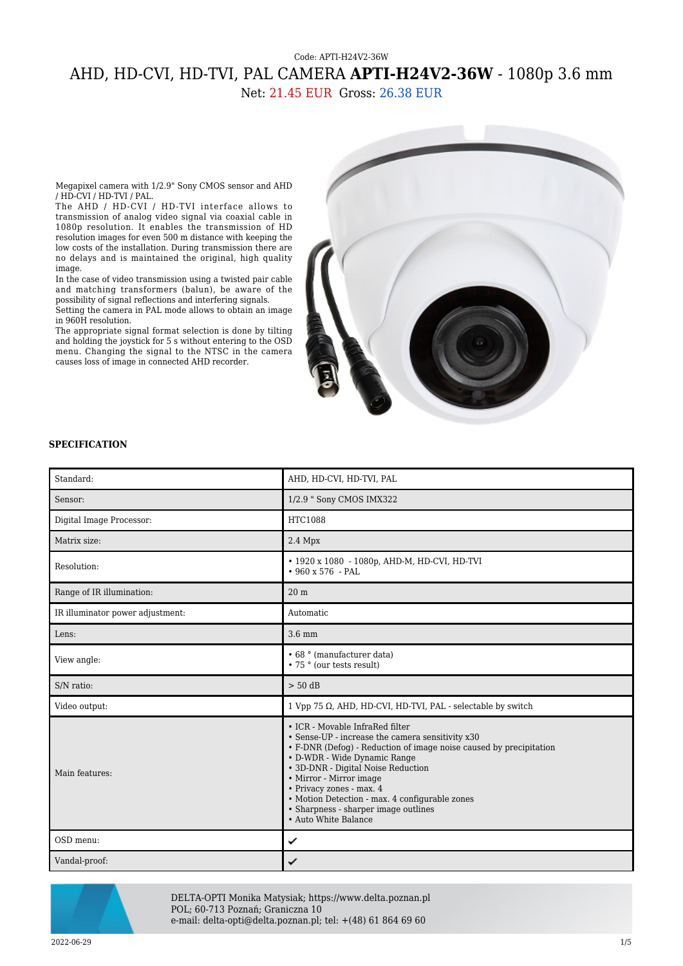## Code: APTI-H24V2-36W AHD, HD-CVI, HD-TVI, PAL CAMERA **APTI-H24V2-36W** - 1080p 3.6 mm Net: 21.45 EUR Gross: 26.38 EUR

Megapixel camera with 1/2.9" Sony CMOS sensor and AHD / HD-CVI / HD-TVI / PAL.

The AHD / HD-CVI / HD-TVI interface allows to transmission of analog video signal via coaxial cable in 1080p resolution. It enables the transmission of HD resolution images for even 500 m distance with keeping the low costs of the installation. During transmission there are no delays and is maintained the original, high quality image.

In the case of video transmission using a twisted pair cable and matching transformers (balun), be aware of the possibility of signal reflections and interfering signals. Setting the camera in PAL mode allows to obtain an image

in 960H resolution.

The appropriate signal format selection is done by tilting and holding the joystick for 5 s without entering to the OSD menu. Changing the signal to the NTSC in the camera causes loss of image in connected AHD recorder.



## **SPECIFICATION**

| Standard:                        | AHD, HD-CVI, HD-TVI, PAL                                                                                                                                                                                                                                                                                                                                                                                 |
|----------------------------------|----------------------------------------------------------------------------------------------------------------------------------------------------------------------------------------------------------------------------------------------------------------------------------------------------------------------------------------------------------------------------------------------------------|
| Sensor:                          | 1/2.9 " Sony CMOS IMX322                                                                                                                                                                                                                                                                                                                                                                                 |
| Digital Image Processor:         | HTC1088                                                                                                                                                                                                                                                                                                                                                                                                  |
| Matrix size:                     | $2.4$ Mpx                                                                                                                                                                                                                                                                                                                                                                                                |
| Resolution:                      | • 1920 x 1080 - 1080p, AHD-M, HD-CVI, HD-TVI<br>$•960 x 576 - PAL$                                                                                                                                                                                                                                                                                                                                       |
| Range of IR illumination:        | 20 <sub>m</sub>                                                                                                                                                                                                                                                                                                                                                                                          |
| IR illuminator power adjustment: | Automatic                                                                                                                                                                                                                                                                                                                                                                                                |
| Lens:                            | $3.6 \text{ mm}$                                                                                                                                                                                                                                                                                                                                                                                         |
| View angle:                      | • 68 ° (manufacturer data)<br>• 75 ° (our tests result)                                                                                                                                                                                                                                                                                                                                                  |
| S/N ratio:                       | $> 50$ dB                                                                                                                                                                                                                                                                                                                                                                                                |
| Video output:                    | 1 Vpp 75 $\Omega$ , AHD, HD-CVI, HD-TVI, PAL - selectable by switch                                                                                                                                                                                                                                                                                                                                      |
| Main features:                   | • ICR - Movable InfraRed filter<br>• Sense-UP - increase the camera sensitivity x30<br>• F-DNR (Defog) - Reduction of image noise caused by precipitation<br>• D-WDR - Wide Dynamic Range<br>· 3D-DNR - Digital Noise Reduction<br>• Mirror - Mirror image<br>· Privacy zones - max. 4<br>• Motion Detection - max. 4 configurable zones<br>• Sharpness - sharper image outlines<br>• Auto White Balance |
| OSD menu:                        | ✓                                                                                                                                                                                                                                                                                                                                                                                                        |
| Vandal-proof:                    | ✓                                                                                                                                                                                                                                                                                                                                                                                                        |



DELTA-OPTI Monika Matysiak; https://www.delta.poznan.pl POL; 60-713 Poznań; Graniczna 10 e-mail: delta-opti@delta.poznan.pl; tel: +(48) 61 864 69 60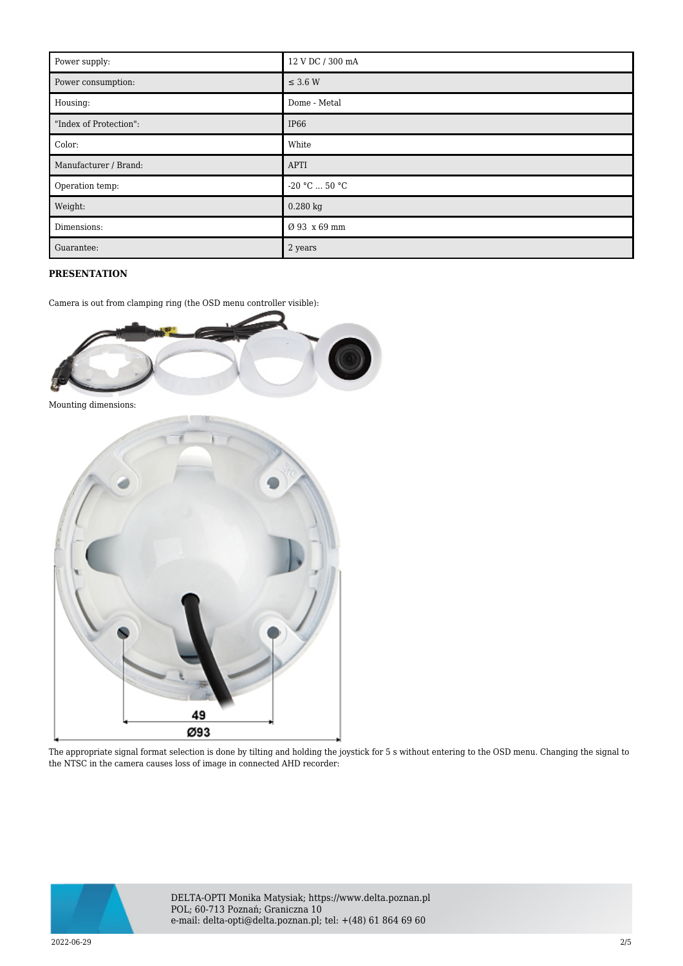| Power supply:          | 12 V DC / 300 mA        |
|------------------------|-------------------------|
| Power consumption:     | $\leq$ 3.6 W            |
| Housing:               | Dome - Metal            |
| "Index of Protection": | <b>IP66</b>             |
| Color:                 | White                   |
| Manufacturer / Brand:  | <b>APTI</b>             |
| Operation temp:        | $-20$ °C $\ldots$ 50 °C |
| Weight:                | $0.280$ kg              |
| Dimensions:            | Ø 93 x 69 mm            |
| Guarantee:             | 2 years                 |

## **PRESENTATION**

Camera is out from clamping ring (the OSD menu controller visible):



The appropriate signal format selection is done by tilting and holding the joystick for 5 s without entering to the OSD menu. Changing the signal to the NTSC in the camera causes loss of image in connected AHD recorder:

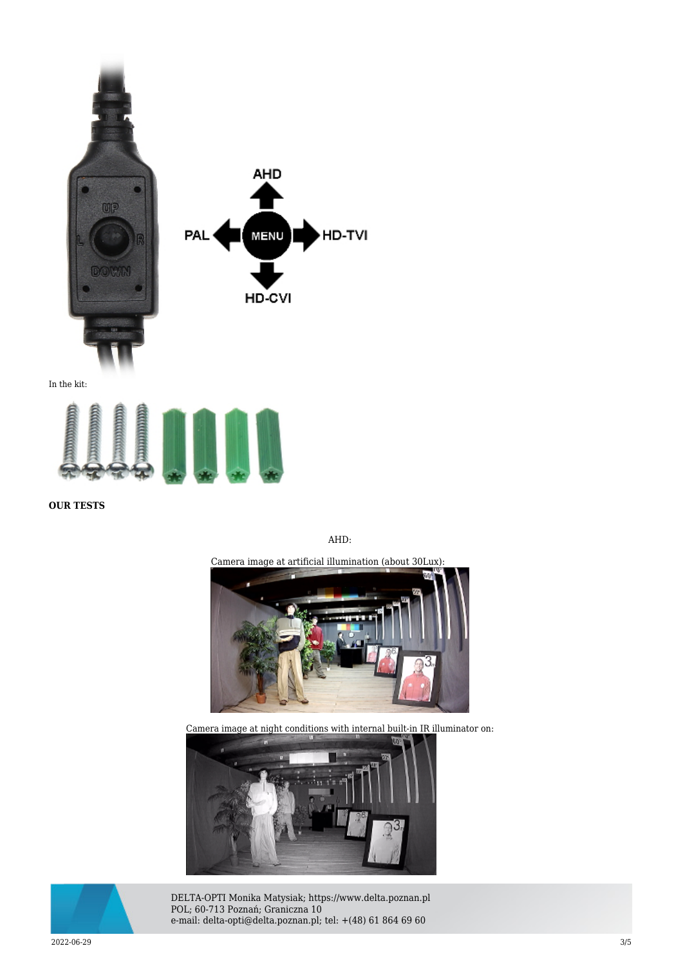

**OUR TESTS**

AHD:

Camera image at artificial illumination (about 30Lux):



Camera image at night conditions with internal built-in IR illuminator on:





DELTA-OPTI Monika Matysiak; https://www.delta.poznan.pl POL; 60-713 Poznań; Graniczna 10 e-mail: delta-opti@delta.poznan.pl; tel: +(48) 61 864 69 60

2022-06-29 3/5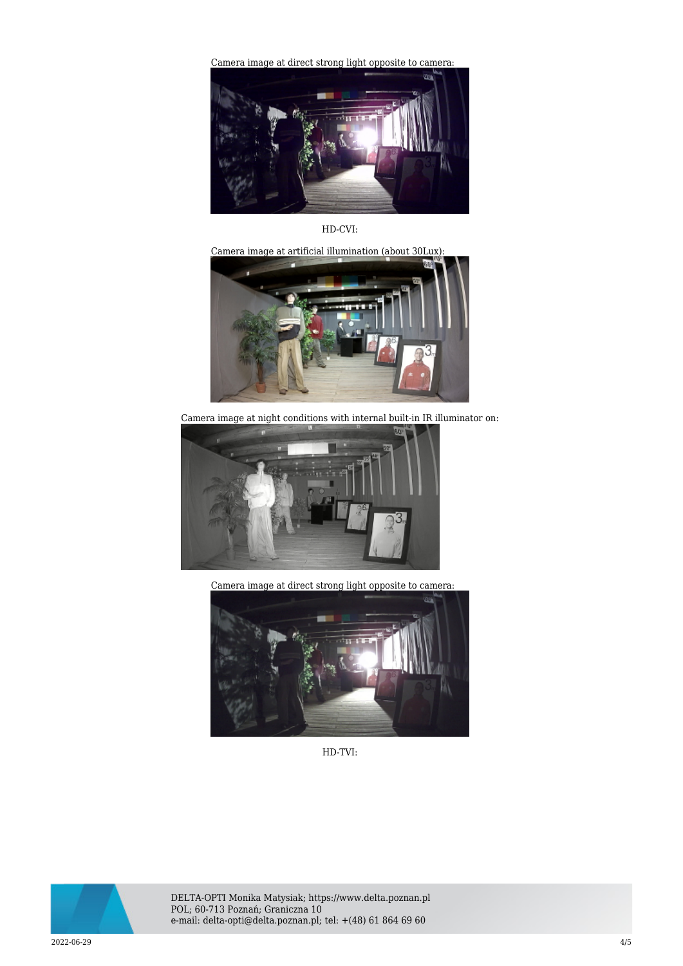[Camera image at direct strong light opposite to camera:](https://sklep.delta.poznan.pl/obrazki1/apti-h24v2-36w_ahd_img12_d.jpg) 



HD-CVI:

Camera image at artificial illumination (about 30Lux):



Camera image at night conditions with internal built-in IR illuminator on:



Camera image at direct strong light opposite to camera:



HD-TVI:



DELTA-OPTI Monika Matysiak; https://www.delta.poznan.pl POL; 60-713 Poznań; Graniczna 10 e-mail: delta-opti@delta.poznan.pl; tel: +(48) 61 864 69 60

2022-06-29 4/5